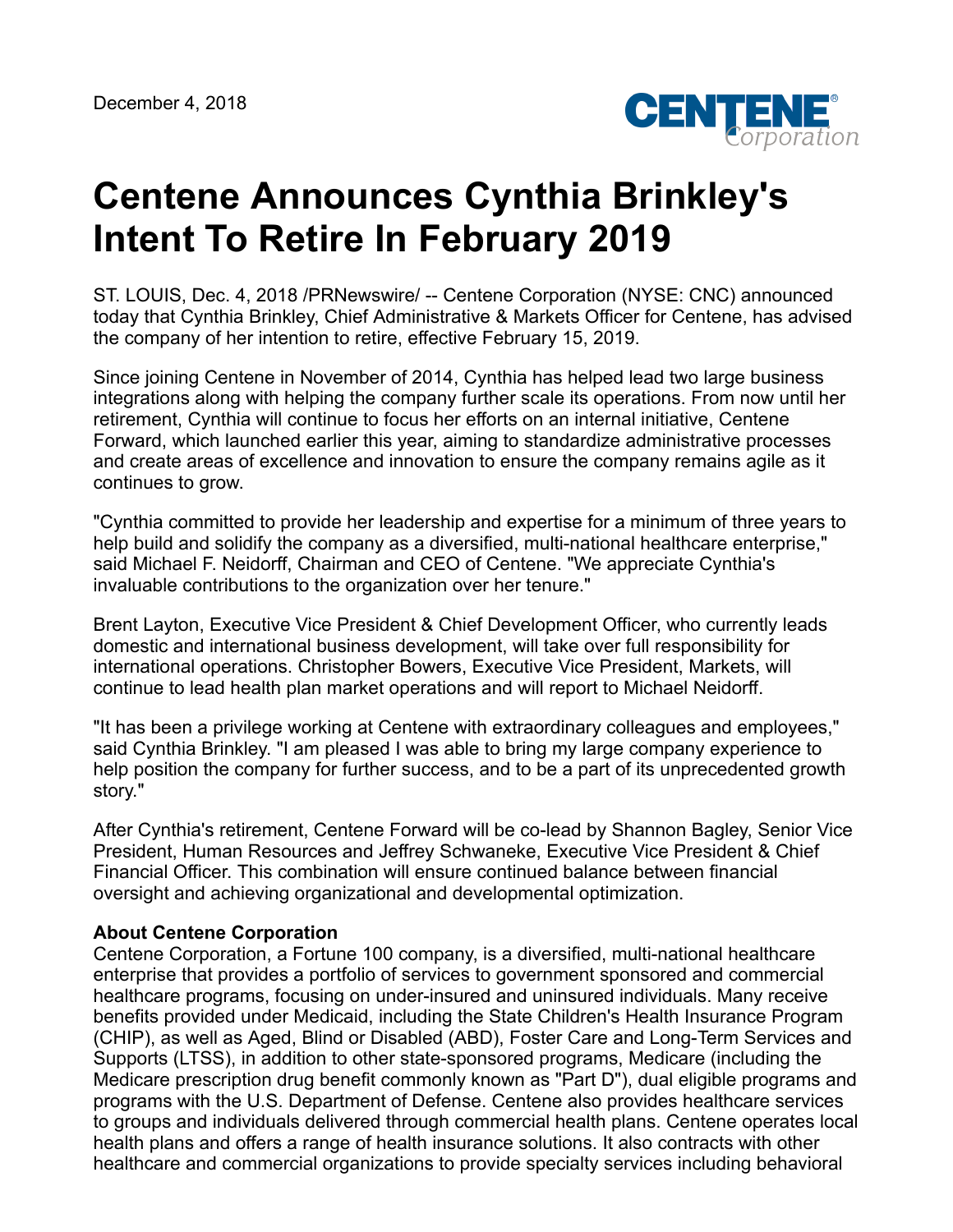

## **Centene Announces Cynthia Brinkley's Intent To Retire In February 2019**

ST. LOUIS, Dec. 4, 2018 /PRNewswire/ -- Centene Corporation (NYSE: CNC) announced today that Cynthia Brinkley, Chief Administrative & Markets Officer for Centene, has advised the company of her intention to retire, effective February 15, 2019.

Since joining Centene in November of 2014, Cynthia has helped lead two large business integrations along with helping the company further scale its operations. From now until her retirement, Cynthia will continue to focus her efforts on an internal initiative, Centene Forward, which launched earlier this year, aiming to standardize administrative processes and create areas of excellence and innovation to ensure the company remains agile as it continues to grow.

"Cynthia committed to provide her leadership and expertise for a minimum of three years to help build and solidify the company as a diversified, multi-national healthcare enterprise," said Michael F. Neidorff, Chairman and CEO of Centene. "We appreciate Cynthia's invaluable contributions to the organization over her tenure."

Brent Layton, Executive Vice President & Chief Development Officer, who currently leads domestic and international business development, will take over full responsibility for international operations. Christopher Bowers, Executive Vice President, Markets, will continue to lead health plan market operations and will report to Michael Neidorff.

"It has been a privilege working at Centene with extraordinary colleagues and employees," said Cynthia Brinkley. "I am pleased I was able to bring my large company experience to help position the company for further success, and to be a part of its unprecedented growth story."

After Cynthia's retirement, Centene Forward will be co-lead by Shannon Bagley, Senior Vice President, Human Resources and Jeffrey Schwaneke, Executive Vice President & Chief Financial Officer. This combination will ensure continued balance between financial oversight and achieving organizational and developmental optimization.

## **About Centene Corporation**

Centene Corporation, a Fortune 100 company, is a diversified, multi-national healthcare enterprise that provides a portfolio of services to government sponsored and commercial healthcare programs, focusing on under-insured and uninsured individuals. Many receive benefits provided under Medicaid, including the State Children's Health Insurance Program (CHIP), as well as Aged, Blind or Disabled (ABD), Foster Care and Long-Term Services and Supports (LTSS), in addition to other state-sponsored programs, Medicare (including the Medicare prescription drug benefit commonly known as "Part D"), dual eligible programs and programs with the U.S. Department of Defense. Centene also provides healthcare services to groups and individuals delivered through commercial health plans. Centene operates local health plans and offers a range of health insurance solutions. It also contracts with other healthcare and commercial organizations to provide specialty services including behavioral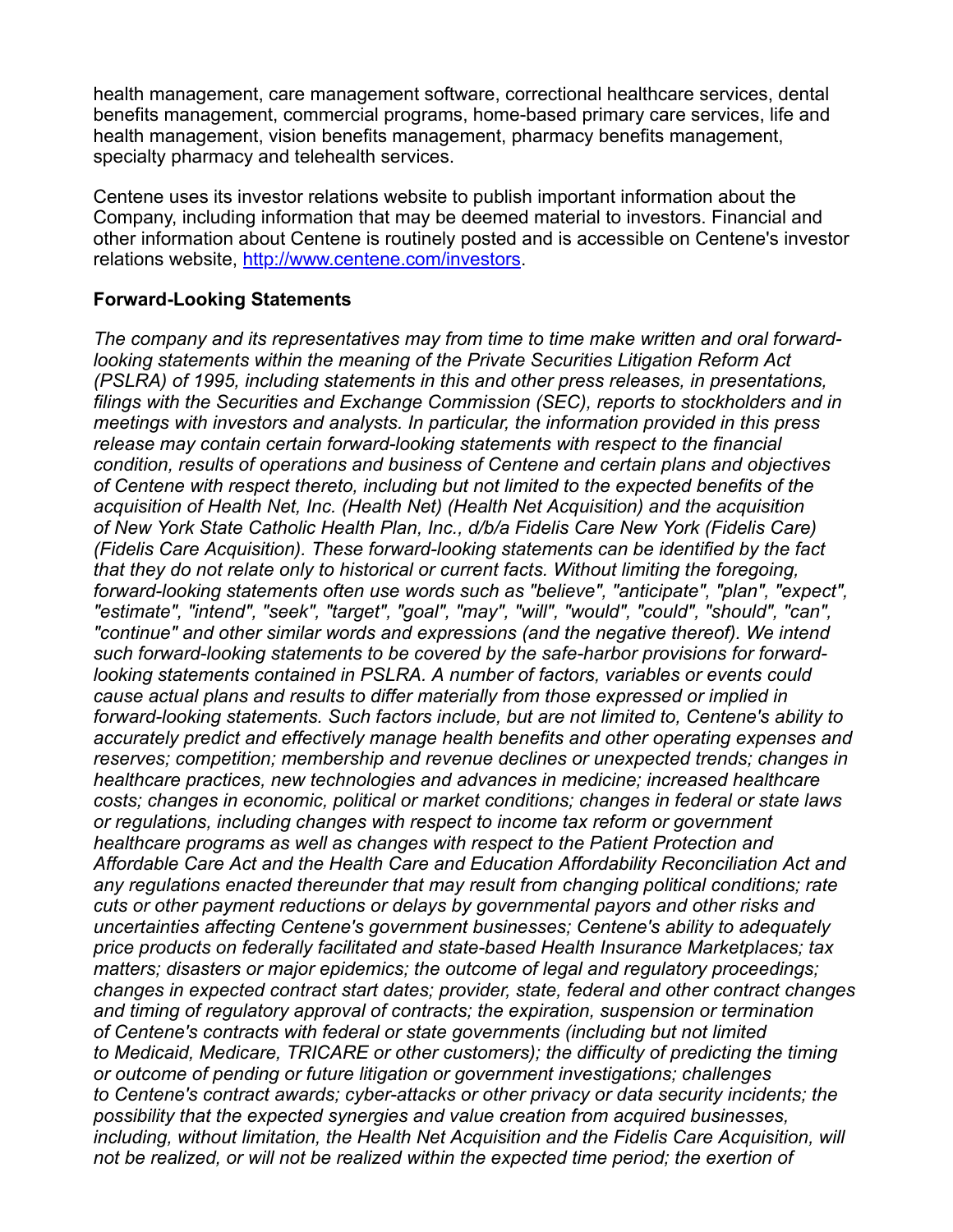health management, care management software, correctional healthcare services, dental benefits management, commercial programs, home-based primary care services, life and health management, vision benefits management, pharmacy benefits management, specialty pharmacy and telehealth services.

Centene uses its investor relations website to publish important information about the Company, including information that may be deemed material to investors. Financial and other information about Centene is routinely posted and is accessible on Centene's investor relations website, <http://www.centene.com/investors>.

## **Forward-Looking Statements**

*The company and its representatives may from time to time make written and oral forwardlooking statements within the meaning of the Private Securities Litigation Reform Act (PSLRA) of 1995, including statements in this and other press releases, in presentations, filings with the Securities and Exchange Commission (SEC), reports to stockholders and in meetings with investors and analysts. In particular, the information provided in this press release may contain certain forward-looking statements with respect to the financial condition, results of operations and business of Centene and certain plans and objectives of Centene with respect thereto, including but not limited to the expected benefits of the acquisition of Health Net, Inc. (Health Net) (Health Net Acquisition) and the acquisition of New York State Catholic Health Plan, Inc., d/b/a Fidelis Care New York (Fidelis Care) (Fidelis Care Acquisition). These forward-looking statements can be identified by the fact that they do not relate only to historical or current facts. Without limiting the foregoing, forward-looking statements often use words such as "believe", "anticipate", "plan", "expect", "estimate", "intend", "seek", "target", "goal", "may", "will", "would", "could", "should", "can", "continue" and other similar words and expressions (and the negative thereof). We intend such forward-looking statements to be covered by the safe-harbor provisions for forwardlooking statements contained in PSLRA. A number of factors, variables or events could cause actual plans and results to differ materially from those expressed or implied in forward-looking statements. Such factors include, but are not limited to, Centene's ability to accurately predict and effectively manage health benefits and other operating expenses and reserves; competition; membership and revenue declines or unexpected trends; changes in healthcare practices, new technologies and advances in medicine; increased healthcare costs; changes in economic, political or market conditions; changes in federal or state laws or regulations, including changes with respect to income tax reform or government healthcare programs as well as changes with respect to the Patient Protection and Affordable Care Act and the Health Care and Education Affordability Reconciliation Act and any regulations enacted thereunder that may result from changing political conditions; rate cuts or other payment reductions or delays by governmental payors and other risks and uncertainties affecting Centene's government businesses; Centene's ability to adequately price products on federally facilitated and state-based Health Insurance Marketplaces; tax matters; disasters or major epidemics; the outcome of legal and regulatory proceedings; changes in expected contract start dates; provider, state, federal and other contract changes and timing of regulatory approval of contracts; the expiration, suspension or termination of Centene's contracts with federal or state governments (including but not limited to Medicaid, Medicare, TRICARE or other customers); the difficulty of predicting the timing or outcome of pending or future litigation or government investigations; challenges to Centene's contract awards; cyber-attacks or other privacy or data security incidents; the possibility that the expected synergies and value creation from acquired businesses, including, without limitation, the Health Net Acquisition and the Fidelis Care Acquisition, will not be realized, or will not be realized within the expected time period; the exertion of*